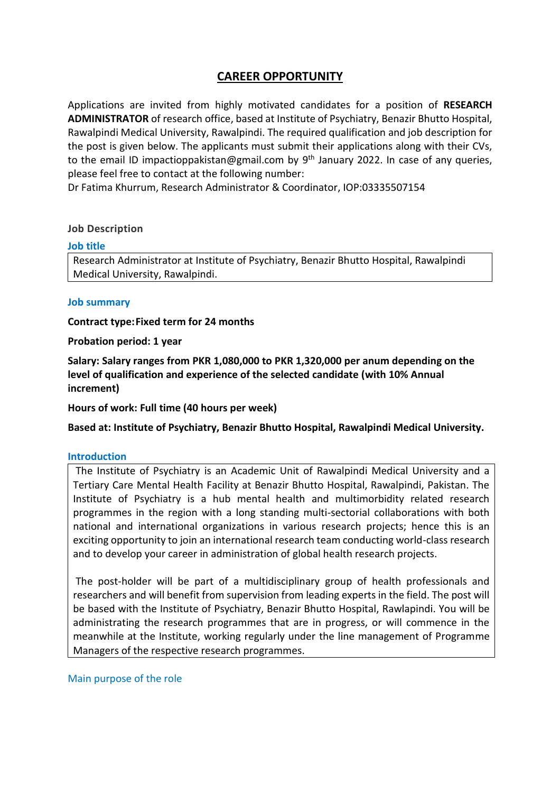# **CAREER OPPORTUNITY**

Applications are invited from highly motivated candidates for a position of **RESEARCH ADMINISTRATOR** of research office, based at Institute of Psychiatry, Benazir Bhutto Hospital, Rawalpindi Medical University, Rawalpindi. The required qualification and job description for the post is given below. The applicants must submit their applications along with their CVs, to the email ID impactioppakistan@gmail.com by 9<sup>th</sup> January 2022. In case of any queries, please feel free to contact at the following number:

Dr Fatima Khurrum, Research Administrator & Coordinator, IOP:03335507154

#### **Job Description**

#### **Job title**

Research Administrator at Institute of Psychiatry, Benazir Bhutto Hospital, Rawalpindi Medical University, Rawalpindi.

#### **Job summary**

**Contract type:Fixed term for 24 months**

#### **Probation period: 1 year**

**Salary: Salary ranges from PKR 1,080,000 to PKR 1,320,000 per anum depending on the level of qualification and experience of the selected candidate (with 10% Annual increment)**

### **Hours of work: Full time (40 hours per week)**

**Based at: Institute of Psychiatry, Benazir Bhutto Hospital, Rawalpindi Medical University.**

#### **Introduction**

The Institute of Psychiatry is an Academic Unit of Rawalpindi Medical University and a Tertiary Care Mental Health Facility at Benazir Bhutto Hospital, Rawalpindi, Pakistan. The Institute of Psychiatry is a hub mental health and multimorbidity related research programmes in the region with a long standing multi-sectorial collaborations with both national and international organizations in various research projects; hence this is an exciting opportunity to join an international research team conducting world-class research and to develop your career in administration of global health research projects.

The post-holder will be part of a multidisciplinary group of health professionals and researchers and will benefit from supervision from leading experts in the field. The post will be based with the Institute of Psychiatry, Benazir Bhutto Hospital, Rawlapindi. You will be administrating the research programmes that are in progress, or will commence in the meanwhile at the Institute, working regularly under the line management of Programme Managers of the respective research programmes.

Main purpose of the role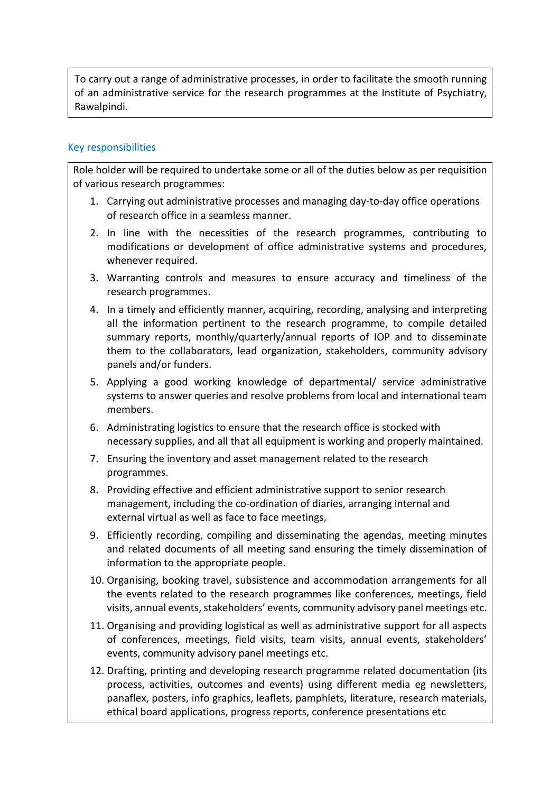To carry out a range of administrative processes, in order to facilitate the smooth running of an administrative service for the research programmes at the Institute of Psychiatry, Rawalpindi.

## Key responsibilities

Role holder will be required to undertake some or all of the duties below as per requisition of various research programmes:

- 1. Carrying out administrative processes and managing day-to-day office operations of research office in a seamless manner.
- 2. In line with the necessities of the research programmes, contributing to modifications or development of office administrative systems and procedures, whenever required.
- 3. Warranting controls and measures to ensure accuracy and timeliness of the research programmes.
- 4. In a timely and efficiently manner, acquiring, recording, analysing and interpreting all the information pertinent to the research programme, to compile detailed summary reports, monthly/quarterly/annual reports of IOP and to disseminate them to the collaborators, lead organization, stakeholders, community advisory panels and/or funders.
- 5. Applying a good working knowledge of departmental/ service administrative systems to answer queries and resolve problems from local and international team members.
- 6. Administrating logistics to ensure that the research office is stocked with necessary supplies, and all that all equipment is working and properly maintained.
- 7. Ensuring the inventory and asset management related to the research programmes.
- 8. Providing effective and efficient administrative support to senior research management, including the co-ordination of diaries, arranging internal and external virtual as well as face to face meetings,
- 9. Efficiently recording, compiling and disseminating the agendas, meeting minutes and related documents of all meeting sand ensuring the timely dissemination of information to the appropriate people.
- 10. Organising, booking travel, subsistence and accommodation arrangements for all the events related to the research programmes like conferences, meetings, field visits, annual events, stakeholders' events, community advisory panel meetings etc.
- 11. Organising and providing logistical as well as administrative support for all aspects of conferences, meetings, field visits, team visits, annual events, stakeholders' events, community advisory panel meetings etc.
- 12. Drafting, printing and developing research programme related documentation (its process, activities, outcomes and events) using different media eg newsletters, panaflex, posters, info graphics, leaflets, pamphlets, literature, research materials, ethical board applications, progress reports, conference presentations etc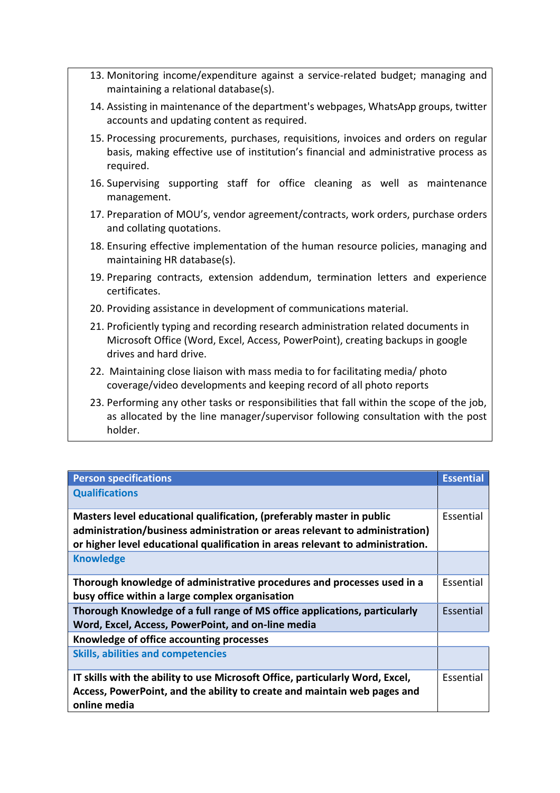- 13. Monitoring income/expenditure against a service-related budget; managing and maintaining a relational database(s).
- 14. Assisting in maintenance of the department's webpages, WhatsApp groups, twitter accounts and updating content as required.
- 15. Processing procurements, purchases, requisitions, invoices and orders on regular basis, making effective use of institution's financial and administrative process as required.
- 16. Supervising supporting staff for office cleaning as well as maintenance management.
- 17. Preparation of MOU's, vendor agreement/contracts, work orders, purchase orders and collating quotations.
- 18. Ensuring effective implementation of the human resource policies, managing and maintaining HR database(s).
- 19. Preparing contracts, extension addendum, termination letters and experience certificates.
- 20. Providing assistance in development of communications material.
- 21. Proficiently typing and recording research administration related documents in Microsoft Office (Word, Excel, Access, PowerPoint), creating backups in google drives and hard drive.
- 22. Maintaining close liaison with mass media to for facilitating media/ photo coverage/video developments and keeping record of all photo reports
- 23. Performing any other tasks or responsibilities that fall within the scope of the job, as allocated by the line manager/supervisor following consultation with the post holder.

| <b>Person specifications</b>                                                                                                                                                                                                           | <b>Essential</b> |
|----------------------------------------------------------------------------------------------------------------------------------------------------------------------------------------------------------------------------------------|------------------|
| <b>Qualifications</b>                                                                                                                                                                                                                  |                  |
| Masters level educational qualification, (preferably master in public<br>administration/business administration or areas relevant to administration)<br>or higher level educational qualification in areas relevant to administration. | Essential        |
| <b>Knowledge</b>                                                                                                                                                                                                                       |                  |
| Thorough knowledge of administrative procedures and processes used in a<br>busy office within a large complex organisation                                                                                                             | Essential        |
| Thorough Knowledge of a full range of MS office applications, particularly<br>Word, Excel, Access, PowerPoint, and on-line media                                                                                                       | Essential        |
| Knowledge of office accounting processes                                                                                                                                                                                               |                  |
| <b>Skills, abilities and competencies</b>                                                                                                                                                                                              |                  |
| IT skills with the ability to use Microsoft Office, particularly Word, Excel,<br>Access, PowerPoint, and the ability to create and maintain web pages and<br>online media                                                              | Essential        |